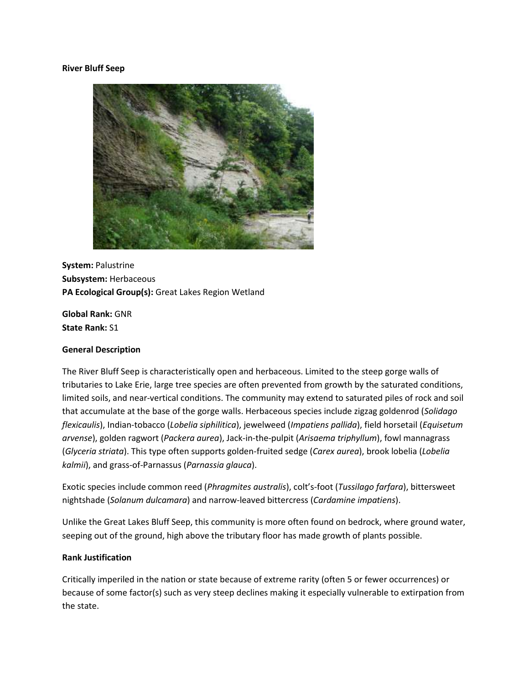### **River Bluff Seep**



**System:** Palustrine **Subsystem:** Herbaceous **PA Ecological Group(s):** Great Lakes Region Wetland

**Global Rank:** GNR **State Rank:** S1

### **General Description**

The River Bluff Seep is characteristically open and herbaceous. Limited to the steep gorge walls of tributaries to Lake Erie, large tree species are often prevented from growth by the saturated conditions, limited soils, and near-vertical conditions. The community may extend to saturated piles of rock and soil that accumulate at the base of the gorge walls. Herbaceous species include zigzag goldenrod (*Solidago flexicaulis*), Indian-tobacco (*Lobelia siphilitica*), jewelweed (*Impatiens pallida*), field horsetail (*Equisetum arvense*), golden ragwort (*Packera aurea*), Jack-in-the-pulpit (*Arisaema triphyllum*), fowl mannagrass (*Glyceria striata*). This type often supports golden-fruited sedge (*Carex aurea*), brook lobelia (*Lobelia kalmii*), and grass-of-Parnassus (*Parnassia glauca*).

Exotic species include common reed (*Phragmites australis*), colt's-foot (*Tussilago farfara*), bittersweet nightshade (*Solanum dulcamara*) and narrow-leaved bittercress (*Cardamine impatiens*).

Unlike the Great Lakes Bluff Seep, this community is more often found on bedrock, where ground water, seeping out of the ground, high above the tributary floor has made growth of plants possible.

### **Rank Justification**

Critically imperiled in the nation or state because of extreme rarity (often 5 or fewer occurrences) or because of some factor(s) such as very steep declines making it especially vulnerable to extirpation from the state.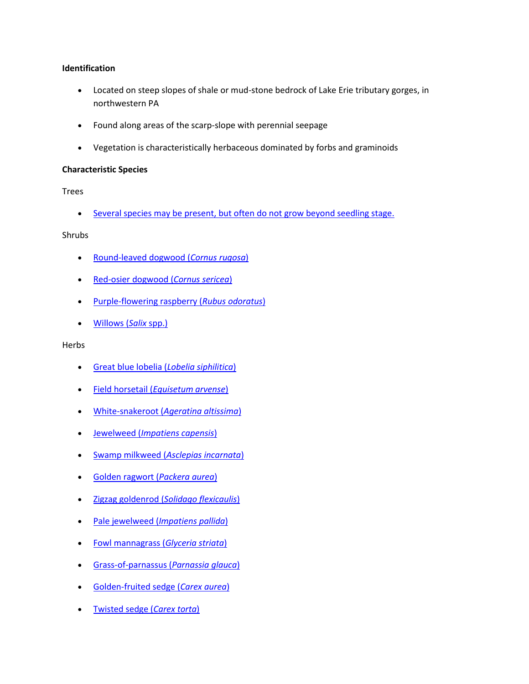## **Identification**

- Located on steep slopes of shale or mud-stone bedrock of Lake Erie tributary gorges, in northwestern PA
- Found along areas of the scarp-slope with perennial seepage
- Vegetation is characteristically herbaceous dominated by forbs and graminoids

## **Characteristic Species**

Trees

• [Several species may be present, but often do not grow beyond seedling stage.](http://localhost:1977/CommunityAlt.aspx?=30030)

**Shrubs** 

- [Round-leaved dogwood \(](http://www.natureserve.org/explorer/servlet/NatureServe?searchName=Cornus+rugosa)*Cornus rugosa*)
- [Red-osier dogwood \(](http://www.natureserve.org/explorer/servlet/NatureServe?searchName=Cornus+sericea)*Cornus sericea*)
- [Purple-flowering raspberry \(](http://www.natureserve.org/explorer/servlet/NatureServe?searchName=Rubus+odoratus)*Rubus odoratus*)
- [Willows \(](http://www.natureserve.org/explorer/servlet/NatureServe?searchSciOrCommonName=salix)*Salix* spp.)

Herbs

- [Great blue lobelia \(](http://www.natureserve.org/explorer/servlet/NatureServe?searchName=Lobelia+siphilitica)*Lobelia siphilitica*)
- Field horsetail (*[Equisetum arvense](http://www.natureserve.org/explorer/servlet/NatureServe?searchName=Equisetum+arvense)*)
- White-snakeroot (*[Ageratina altissima](http://www.natureserve.org/explorer/servlet/NatureServe?searchName=Ageratina+altissima+var.+altissima)*)
- Jewelweed (*[Impatiens capensis](http://www.natureserve.org/explorer/servlet/NatureServe?searchName=Impatiens+capensis)*)
- Swamp milkweed (*[Asclepias incarnata](http://www.natureserve.org/explorer/servlet/NatureServe?searchName=Asclepias+incarnata)*)
- [Golden ragwort \(](http://www.natureserve.org/explorer/servlet/NatureServe?searchName=Packera+aurea)*Packera aurea*)
- Zigzag goldenrod (*[Solidago flexicaulis](http://www.natureserve.org/explorer/servlet/NatureServe?searchName=Solidago+flexicaulis)*)
- Pale jewelweed (*[Impatiens pallida](http://www.natureserve.org/explorer/servlet/NatureServe?searchName=Impatiens+pallida)*)
- [Fowl mannagrass \(](http://www.natureserve.org/explorer/servlet/NatureServe?searchName=Glyceria+striata)*Glyceria striata*)
- [Grass-of-parnassus](http://www.natureserve.org/explorer/servlet/NatureServe?searchName=Parnassia+glauca) (*Parnassia glauca*)
- [Golden-fruited sedge \(](http://www.natureserve.org/explorer/servlet/NatureServe?searchName=Carex+aurea)*Carex aurea*)
- [Twisted sedge \(](http://www.natureserve.org/explorer/servlet/NatureServe?searchName=Carex+torta)*Carex torta*)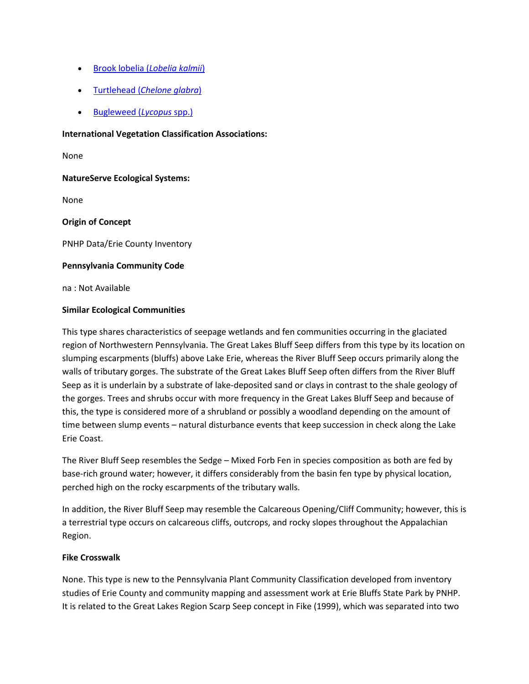- [Brook lobelia \(](http://www.natureserve.org/explorer/servlet/NatureServe?searchName=Lobelia+kalmii)*Lobelia kalmii*)
- Turtlehead (*[Chelone glabra](http://www.natureserve.org/explorer/servlet/NatureServe?searchName=Chelone+glabra)*)
- [Bugleweed \(](http://www.natureserve.org/explorer/servlet/NatureServe?searchSciOrCommonName=Lycopus)*Lycopus* spp.)

### **International Vegetation Classification Associations:**

None

## **NatureServe Ecological Systems:**

None

## **Origin of Concept**

PNHP Data/Erie County Inventory

## **Pennsylvania Community Code**

na : Not Available

## **Similar Ecological Communities**

This type shares characteristics of seepage wetlands and fen communities occurring in the glaciated region of Northwestern Pennsylvania. The Great Lakes Bluff Seep differs from this type by its location on slumping escarpments (bluffs) above Lake Erie, whereas the River Bluff Seep occurs primarily along the walls of tributary gorges. The substrate of the Great Lakes Bluff Seep often differs from the River Bluff Seep as it is underlain by a substrate of lake-deposited sand or clays in contrast to the shale geology of the gorges. Trees and shrubs occur with more frequency in the Great Lakes Bluff Seep and because of this, the type is considered more of a shrubland or possibly a woodland depending on the amount of time between slump events – natural disturbance events that keep succession in check along the Lake Erie Coast.

The River Bluff Seep resembles the Sedge – Mixed Forb Fen in species composition as both are fed by base-rich ground water; however, it differs considerably from the basin fen type by physical location, perched high on the rocky escarpments of the tributary walls.

In addition, the River Bluff Seep may resemble the Calcareous Opening/Cliff Community; however, this is a terrestrial type occurs on calcareous cliffs, outcrops, and rocky slopes throughout the Appalachian Region.

## **Fike Crosswalk**

None. This type is new to the Pennsylvania Plant Community Classification developed from inventory studies of Erie County and community mapping and assessment work at Erie Bluffs State Park by PNHP. It is related to the Great Lakes Region Scarp Seep concept in Fike (1999), which was separated into two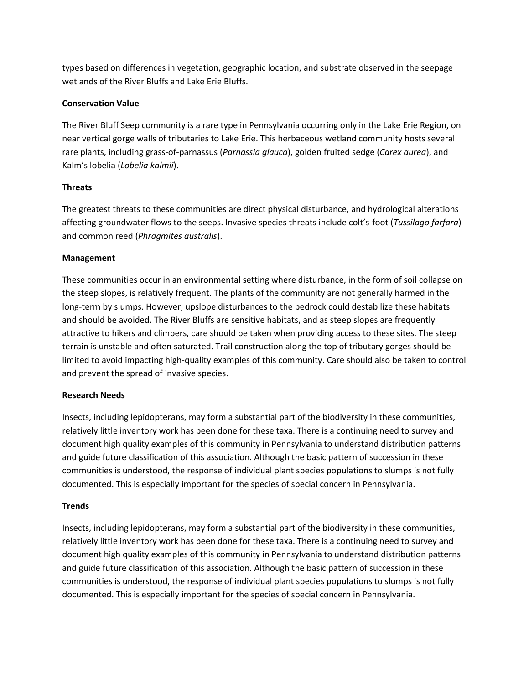types based on differences in vegetation, geographic location, and substrate observed in the seepage wetlands of the River Bluffs and Lake Erie Bluffs.

# **Conservation Value**

The River Bluff Seep community is a rare type in Pennsylvania occurring only in the Lake Erie Region, on near vertical gorge walls of tributaries to Lake Erie. This herbaceous wetland community hosts several rare plants, including grass-of-parnassus (*Parnassia glauca*), golden fruited sedge (*Carex aurea*), and Kalm's lobelia (*Lobelia kalmii*).

# **Threats**

The greatest threats to these communities are direct physical disturbance, and hydrological alterations affecting groundwater flows to the seeps. Invasive species threats include colt's-foot (*Tussilago farfara*) and common reed (*Phragmites australis*).

# **Management**

These communities occur in an environmental setting where disturbance, in the form of soil collapse on the steep slopes, is relatively frequent. The plants of the community are not generally harmed in the long-term by slumps. However, upslope disturbances to the bedrock could destabilize these habitats and should be avoided. The River Bluffs are sensitive habitats, and as steep slopes are frequently attractive to hikers and climbers, care should be taken when providing access to these sites. The steep terrain is unstable and often saturated. Trail construction along the top of tributary gorges should be limited to avoid impacting high-quality examples of this community. Care should also be taken to control and prevent the spread of invasive species.

## **Research Needs**

Insects, including lepidopterans, may form a substantial part of the biodiversity in these communities, relatively little inventory work has been done for these taxa. There is a continuing need to survey and document high quality examples of this community in Pennsylvania to understand distribution patterns and guide future classification of this association. Although the basic pattern of succession in these communities is understood, the response of individual plant species populations to slumps is not fully documented. This is especially important for the species of special concern in Pennsylvania.

## **Trends**

Insects, including lepidopterans, may form a substantial part of the biodiversity in these communities, relatively little inventory work has been done for these taxa. There is a continuing need to survey and document high quality examples of this community in Pennsylvania to understand distribution patterns and guide future classification of this association. Although the basic pattern of succession in these communities is understood, the response of individual plant species populations to slumps is not fully documented. This is especially important for the species of special concern in Pennsylvania.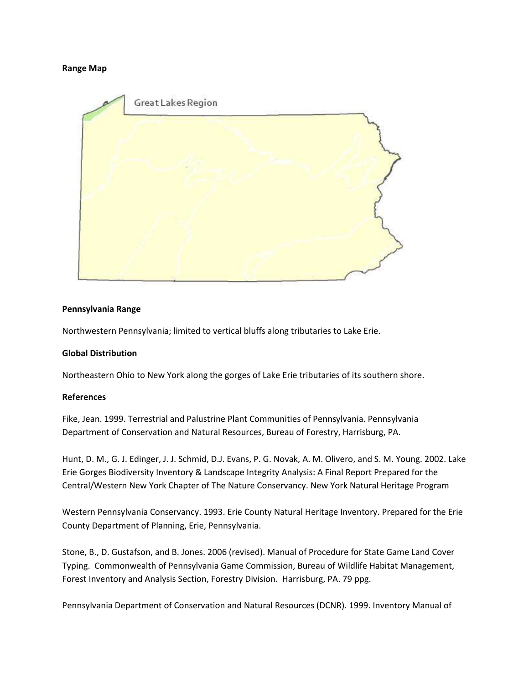### **Range Map**



## **Pennsylvania Range**

Northwestern Pennsylvania; limited to vertical bluffs along tributaries to Lake Erie.

## **Global Distribution**

Northeastern Ohio to New York along the gorges of Lake Erie tributaries of its southern shore.

### **References**

Fike, Jean. 1999. Terrestrial and Palustrine Plant Communities of Pennsylvania. Pennsylvania Department of Conservation and Natural Resources, Bureau of Forestry, Harrisburg, PA.

Hunt, D. M., G. J. Edinger, J. J. Schmid, D.J. Evans, P. G. Novak, A. M. Olivero, and S. M. Young. 2002. Lake Erie Gorges Biodiversity Inventory & Landscape Integrity Analysis: A Final Report Prepared for the Central/Western New York Chapter of The Nature Conservancy. New York Natural Heritage Program

Western Pennsylvania Conservancy. 1993. Erie County Natural Heritage Inventory. Prepared for the Erie County Department of Planning, Erie, Pennsylvania.

Stone, B., D. Gustafson, and B. Jones. 2006 (revised). Manual of Procedure for State Game Land Cover Typing. Commonwealth of Pennsylvania Game Commission, Bureau of Wildlife Habitat Management, Forest Inventory and Analysis Section, Forestry Division. Harrisburg, PA. 79 ppg.

Pennsylvania Department of Conservation and Natural Resources (DCNR). 1999. Inventory Manual of